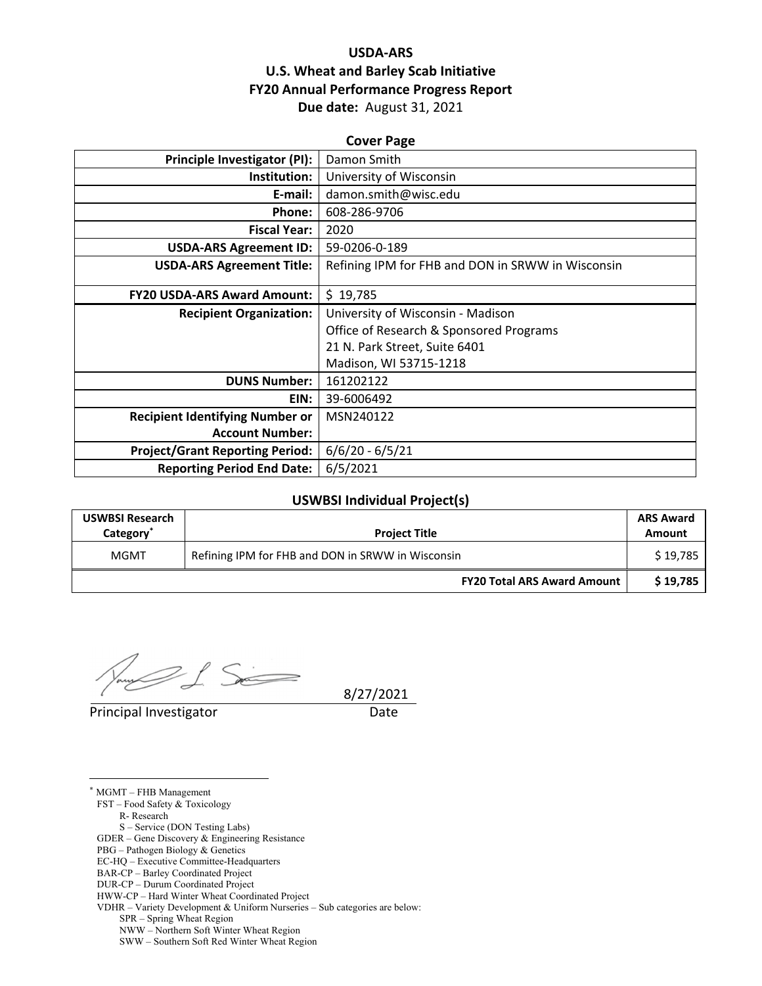# **USDA‐ARS U.S. Wheat and Barley Scab Initiative FY20 Annual Performance Progress Report Due date:** August 31, 2021

| <b>Cover Page</b>                      |                                                   |  |  |
|----------------------------------------|---------------------------------------------------|--|--|
| Principle Investigator (PI):           | Damon Smith                                       |  |  |
| Institution:                           | University of Wisconsin                           |  |  |
| E-mail:                                | damon.smith@wisc.edu                              |  |  |
| Phone:                                 | 608-286-9706                                      |  |  |
| <b>Fiscal Year:</b>                    | 2020                                              |  |  |
| <b>USDA-ARS Agreement ID:</b>          | 59-0206-0-189                                     |  |  |
| <b>USDA-ARS Agreement Title:</b>       | Refining IPM for FHB and DON in SRWW in Wisconsin |  |  |
|                                        |                                                   |  |  |
| <b>FY20 USDA-ARS Award Amount:</b>     | \$19,785                                          |  |  |
| <b>Recipient Organization:</b>         | University of Wisconsin - Madison                 |  |  |
|                                        | Office of Research & Sponsored Programs           |  |  |
|                                        | 21 N. Park Street, Suite 6401                     |  |  |
|                                        | Madison, WI 53715-1218                            |  |  |
| <b>DUNS Number:</b>                    | 161202122                                         |  |  |
| EIN:                                   | 39-6006492                                        |  |  |
| <b>Recipient Identifying Number or</b> | MSN240122                                         |  |  |
| <b>Account Number:</b>                 |                                                   |  |  |
| <b>Project/Grant Reporting Period:</b> | $6/6/20 - 6/5/21$                                 |  |  |
| <b>Reporting Period End Date:</b>      | 6/5/2021                                          |  |  |

### **USWBSI Individual Project(s)**

| <b>USWBSI Research</b><br>Category <sup>®</sup> | <b>Project Title</b>                              | <b>ARS Award</b><br>Amount |
|-------------------------------------------------|---------------------------------------------------|----------------------------|
| MGMT                                            | Refining IPM for FHB and DON in SRWW in Wisconsin |                            |
|                                                 | <b>FY20 Total ARS Award Amount</b>                | \$19,785                   |

 $1.5$ 

Principal Investigator **Date** 

8/27/2021

 $\overline{a}$ \* MGMT – FHB Management FST – Food Safety & Toxicology R- Research S – Service (DON Testing Labs) GDER – Gene Discovery & Engineering Resistance PBG – Pathogen Biology & Genetics EC-HQ – Executive Committee-Headquarters BAR-CP – Barley Coordinated Project DUR-CP – Durum Coordinated Project HWW-CP – Hard Winter Wheat Coordinated Project VDHR – Variety Development & Uniform Nurseries – Sub categories are below: SPR – Spring Wheat Region NWW – Northern Soft Winter Wheat Region SWW – Southern Soft Red Winter Wheat Region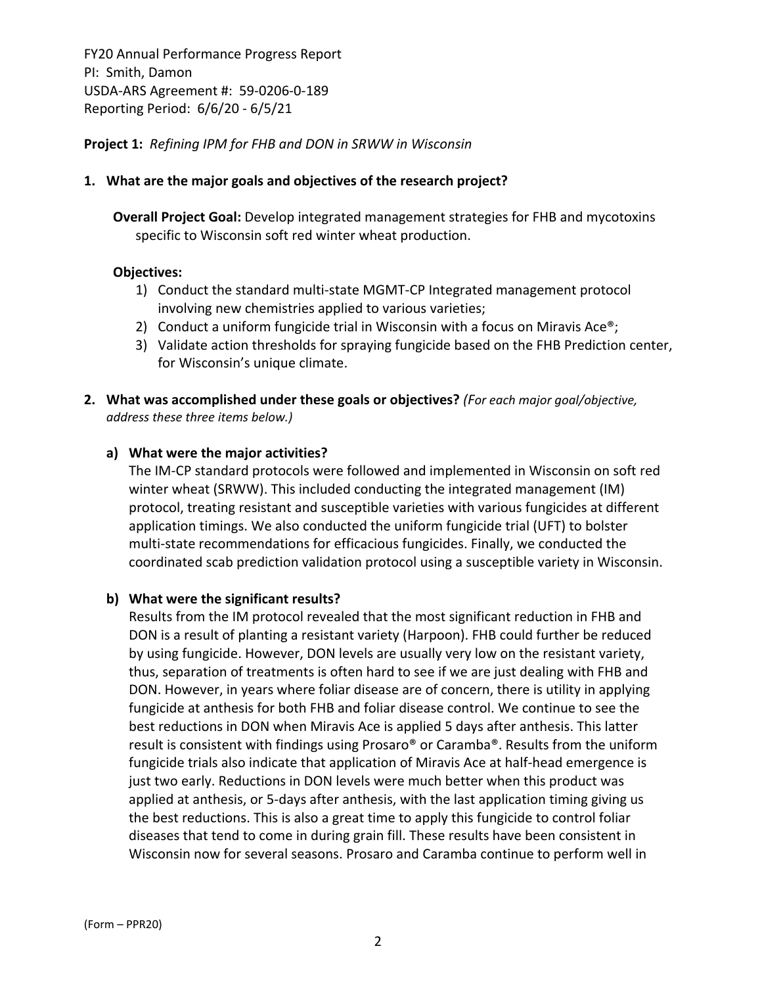## **Project 1:** *Refining IPM for FHB and DON in SRWW in Wisconsin*

#### **1. What are the major goals and objectives of the research project?**

**Overall Project Goal:** Develop integrated management strategies for FHB and mycotoxins specific to Wisconsin soft red winter wheat production.

#### **Objectives:**

- 1) Conduct the standard multi‐state MGMT‐CP Integrated management protocol involving new chemistries applied to various varieties;
- 2) Conduct a uniform fungicide trial in Wisconsin with a focus on Miravis Ace<sup>®</sup>;
- 3) Validate action thresholds for spraying fungicide based on the FHB Prediction center, for Wisconsin's unique climate.
- **2. What was accomplished under these goals or objectives?** *(For each major goal/objective, address these three items below.)*

#### **a) What were the major activities?**

The IM‐CP standard protocols were followed and implemented in Wisconsin on soft red winter wheat (SRWW). This included conducting the integrated management (IM) protocol, treating resistant and susceptible varieties with various fungicides at different application timings. We also conducted the uniform fungicide trial (UFT) to bolster multi‐state recommendations for efficacious fungicides. Finally, we conducted the coordinated scab prediction validation protocol using a susceptible variety in Wisconsin.

#### **b) What were the significant results?**

Results from the IM protocol revealed that the most significant reduction in FHB and DON is a result of planting a resistant variety (Harpoon). FHB could further be reduced by using fungicide. However, DON levels are usually very low on the resistant variety, thus, separation of treatments is often hard to see if we are just dealing with FHB and DON. However, in years where foliar disease are of concern, there is utility in applying fungicide at anthesis for both FHB and foliar disease control. We continue to see the best reductions in DON when Miravis Ace is applied 5 days after anthesis. This latter result is consistent with findings using Prosaro® or Caramba®. Results from the uniform fungicide trials also indicate that application of Miravis Ace at half‐head emergence is just two early. Reductions in DON levels were much better when this product was applied at anthesis, or 5‐days after anthesis, with the last application timing giving us the best reductions. This is also a great time to apply this fungicide to control foliar diseases that tend to come in during grain fill. These results have been consistent in Wisconsin now for several seasons. Prosaro and Caramba continue to perform well in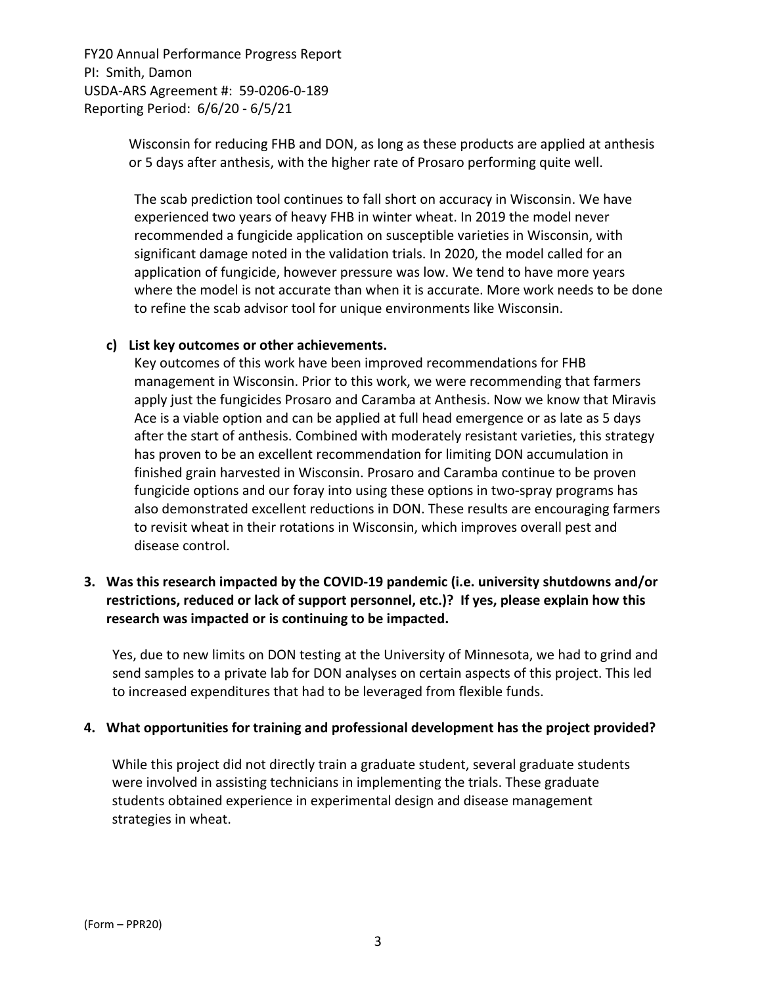> Wisconsin for reducing FHB and DON, as long as these products are applied at anthesis or 5 days after anthesis, with the higher rate of Prosaro performing quite well.

The scab prediction tool continues to fall short on accuracy in Wisconsin. We have experienced two years of heavy FHB in winter wheat. In 2019 the model never recommended a fungicide application on susceptible varieties in Wisconsin, with significant damage noted in the validation trials. In 2020, the model called for an application of fungicide, however pressure was low. We tend to have more years where the model is not accurate than when it is accurate. More work needs to be done to refine the scab advisor tool for unique environments like Wisconsin.

### **c) List key outcomes or other achievements.**

Key outcomes of this work have been improved recommendations for FHB management in Wisconsin. Prior to this work, we were recommending that farmers apply just the fungicides Prosaro and Caramba at Anthesis. Now we know that Miravis Ace is a viable option and can be applied at full head emergence or as late as 5 days after the start of anthesis. Combined with moderately resistant varieties, this strategy has proven to be an excellent recommendation for limiting DON accumulation in finished grain harvested in Wisconsin. Prosaro and Caramba continue to be proven fungicide options and our foray into using these options in two-spray programs has also demonstrated excellent reductions in DON. These results are encouraging farmers to revisit wheat in their rotations in Wisconsin, which improves overall pest and disease control.

# **3. Was this research impacted by the COVID‐19 pandemic (i.e. university shutdowns and/or restrictions, reduced or lack of support personnel, etc.)? If yes, please explain how this research was impacted or is continuing to be impacted.**

Yes, due to new limits on DON testing at the University of Minnesota, we had to grind and send samples to a private lab for DON analyses on certain aspects of this project. This led to increased expenditures that had to be leveraged from flexible funds.

#### **4. What opportunities for training and professional development has the project provided?**

While this project did not directly train a graduate student, several graduate students were involved in assisting technicians in implementing the trials. These graduate students obtained experience in experimental design and disease management strategies in wheat.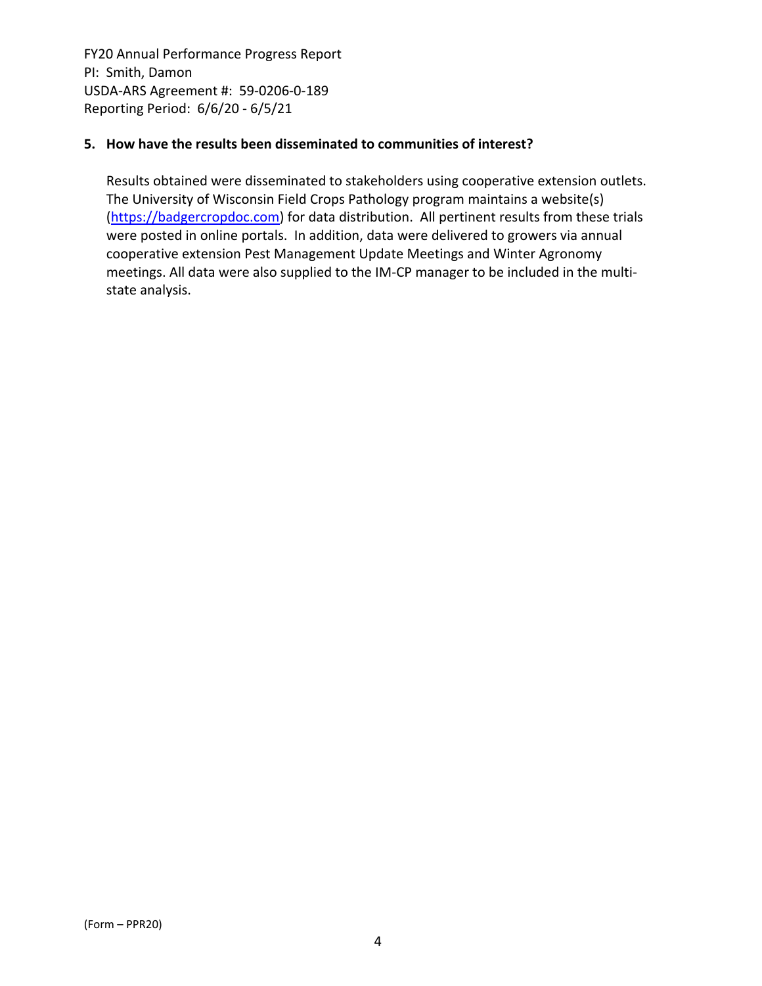## **5. How have the results been disseminated to communities of interest?**

Results obtained were disseminated to stakeholders using cooperative extension outlets. The University of Wisconsin Field Crops Pathology program maintains a website(s) (https://badgercropdoc.com) for data distribution. All pertinent results from these trials were posted in online portals. In addition, data were delivered to growers via annual cooperative extension Pest Management Update Meetings and Winter Agronomy meetings. All data were also supplied to the IM‐CP manager to be included in the multi‐ state analysis.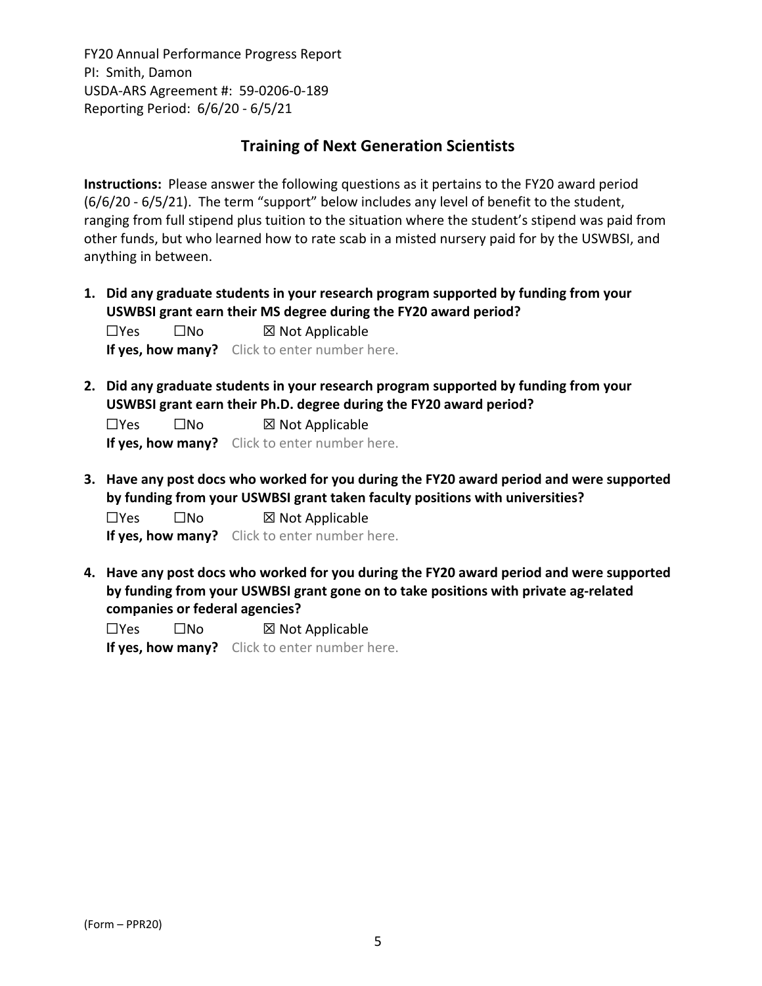# **Training of Next Generation Scientists**

**Instructions:** Please answer the following questions as it pertains to the FY20 award period (6/6/20 ‐ 6/5/21). The term "support" below includes any level of benefit to the student, ranging from full stipend plus tuition to the situation where the student's stipend was paid from other funds, but who learned how to rate scab in a misted nursery paid for by the USWBSI, and anything in between.

**1. Did any graduate students in your research program supported by funding from your USWBSI grant earn their MS degree during the FY20 award period?**

☐Yes ☐No ☒ Not Applicable **If yes, how many?** Click to enter number here.

**2. Did any graduate students in your research program supported by funding from your USWBSI grant earn their Ph.D. degree during the FY20 award period?**

☐Yes ☐No ☒ Not Applicable **If yes, how many?** Click to enter number here.

**3. Have any post docs who worked for you during the FY20 award period and were supported by funding from your USWBSI grant taken faculty positions with universities?**

☐Yes ☐No ☒ Not Applicable **If yes, how many?** Click to enter number here.

**4. Have any post docs who worked for you during the FY20 award period and were supported by funding from your USWBSI grant gone on to take positions with private ag‐related companies or federal agencies?**

 $\square$ Yes  $\square$ No  $\square$  Not Applicable **If yes, how many?** Click to enter number here.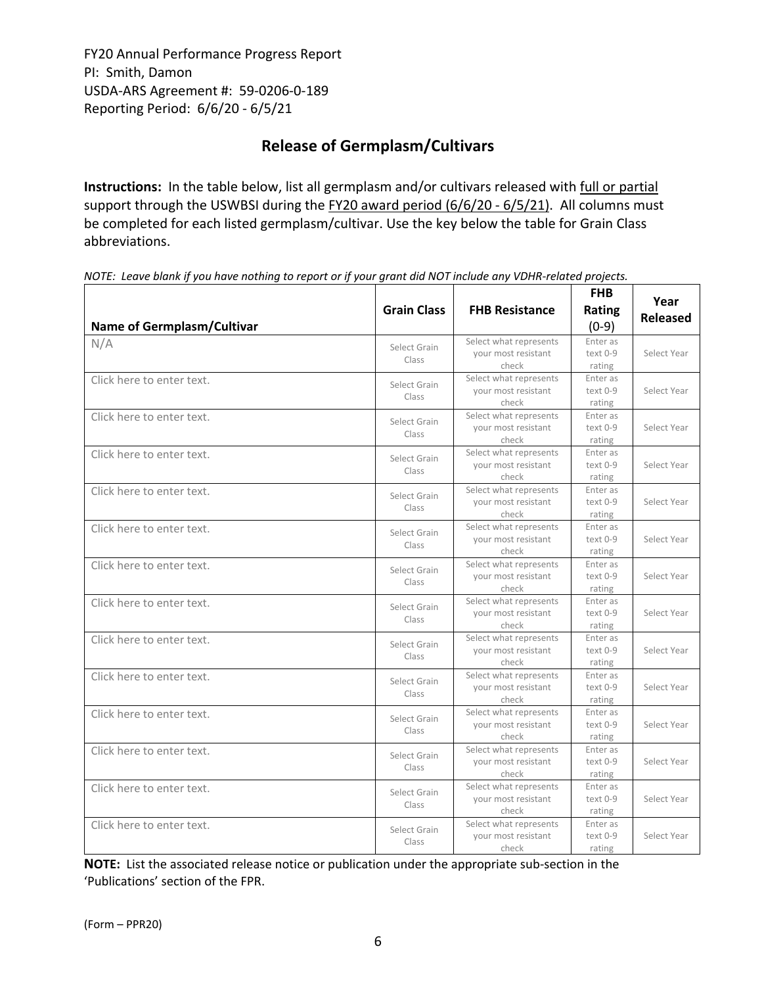# **Release of Germplasm/Cultivars**

**Instructions:** In the table below, list all germplasm and/or cultivars released with full or partial support through the USWBSI during the FY20 award period (6/6/20 - 6/5/21). All columns must be completed for each listed germplasm/cultivar. Use the key below the table for Grain Class abbreviations. 

| <b>Name of Germplasm/Cultivar</b> | <b>Grain Class</b>    | <b>FHB Resistance</b>                                  | <b>FHB</b><br><b>Rating</b><br>$(0-9)$ | Year<br><b>Released</b> |
|-----------------------------------|-----------------------|--------------------------------------------------------|----------------------------------------|-------------------------|
| N/A                               | Select Grain<br>Class | Select what represents<br>your most resistant<br>check | Enter as<br>$text 0-9$<br>rating       | Select Year             |
| Click here to enter text.         | Select Grain<br>Class | Select what represents<br>vour most resistant<br>check | Enter as<br>$text 0-9$<br>rating       | Select Year             |
| Click here to enter text.         | Select Grain<br>Class | Select what represents<br>your most resistant<br>check | Enter as<br>text 0-9<br>rating         | Select Year             |
| Click here to enter text.         | Select Grain<br>Class | Select what represents<br>your most resistant<br>check | Enter as<br>text 0-9<br>rating         | Select Year             |
| Click here to enter text.         | Select Grain<br>Class | Select what represents<br>your most resistant<br>check | Enter as<br>text 0-9<br>rating         | Select Year             |
| Click here to enter text.         | Select Grain<br>Class | Select what represents<br>your most resistant<br>check | Enter as<br>text 0-9<br>rating         | Select Year             |
| Click here to enter text.         | Select Grain<br>Class | Select what represents<br>your most resistant<br>check | Enter as<br>text 0-9<br>rating         | Select Year             |
| Click here to enter text.         | Select Grain<br>Class | Select what represents<br>your most resistant<br>check | Enter as<br>text 0-9<br>rating         | Select Year             |
| Click here to enter text.         | Select Grain<br>Class | Select what represents<br>your most resistant<br>check | Enter as<br>text 0-9<br>rating         | Select Year             |
| Click here to enter text.         | Select Grain<br>Class | Select what represents<br>vour most resistant<br>check | Enter as<br>$text 0-9$<br>rating       | Select Year             |
| Click here to enter text.         | Select Grain<br>Class | Select what represents<br>your most resistant<br>check | Enter as<br>text 0-9<br>rating         | Select Year             |
| Click here to enter text.         | Select Grain<br>Class | Select what represents<br>your most resistant<br>check | Enter as<br>text 0-9<br>rating         | Select Year             |
| Click here to enter text.         | Select Grain<br>Class | Select what represents<br>your most resistant<br>check | Enter as<br>text 0-9<br>rating         | Select Year             |
| Click here to enter text.         | Select Grain<br>Class | Select what represents<br>your most resistant<br>check | Enter as<br>text 0-9<br>rating         | Select Year             |

NOTE: Leave blank if you have nothing to report or if your grant did NOT include any VDHR-related projects.

**NOTE:** List the associated release notice or publication under the appropriate sub-section in the 'Publications' section of the FPR.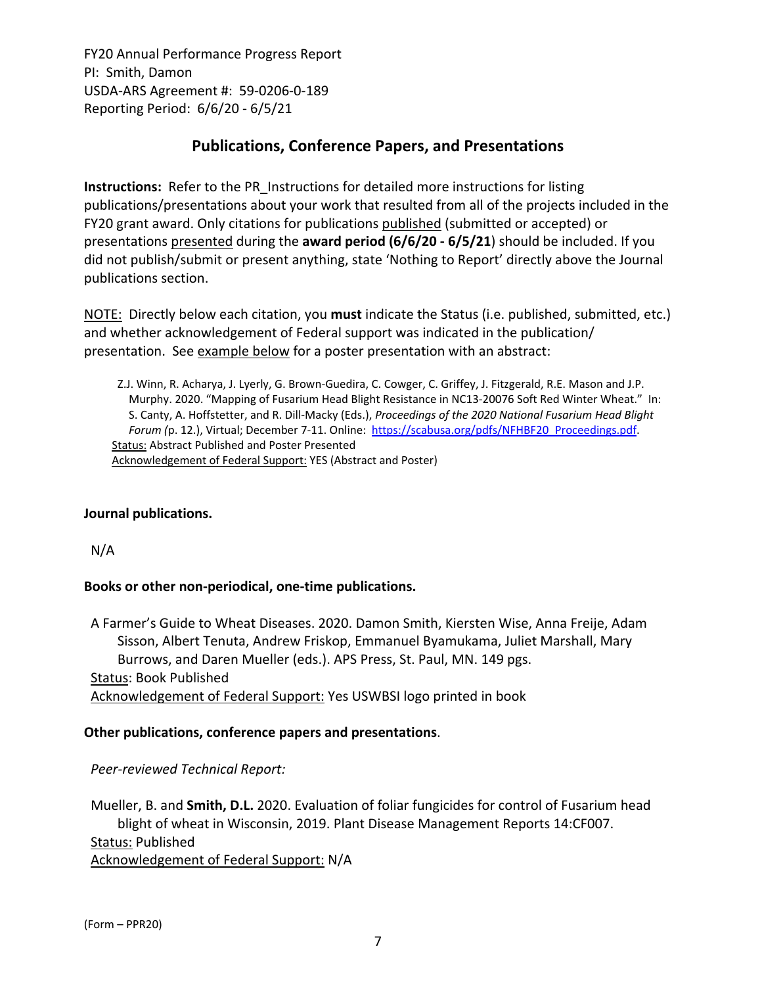# **Publications, Conference Papers, and Presentations**

**Instructions:** Refer to the PR\_Instructions for detailed more instructions for listing publications/presentations about your work that resulted from all of the projects included in the FY20 grant award. Only citations for publications published (submitted or accepted) or presentations presented during the **award period (6/6/20 ‐ 6/5/21**) should be included. If you did not publish/submit or present anything, state 'Nothing to Report' directly above the Journal publications section.

NOTE: Directly below each citation, you **must** indicate the Status (i.e. published, submitted, etc.) and whether acknowledgement of Federal support was indicated in the publication/ presentation. See example below for a poster presentation with an abstract:

Z.J. Winn, R. Acharya, J. Lyerly, G. Brown‐Guedira, C. Cowger, C. Griffey, J. Fitzgerald, R.E. Mason and J.P. Murphy. 2020. "Mapping of Fusarium Head Blight Resistance in NC13‐20076 Soft Red Winter Wheat." In: S. Canty, A. Hoffstetter, and R. Dill‐Macky (Eds.), *Proceedings of the 2020 National Fusarium Head Blight Forum (*p. 12.), Virtual; December 7‐11. Online: https://scabusa.org/pdfs/NFHBF20\_Proceedings.pdf. Status: Abstract Published and Poster Presented Acknowledgement of Federal Support: YES (Abstract and Poster)

#### **Journal publications.**

N/A

# **Books or other non‐periodical, one‐time publications.**

A Farmer's Guide to Wheat Diseases. 2020. Damon Smith, Kiersten Wise, Anna Freije, Adam Sisson, Albert Tenuta, Andrew Friskop, Emmanuel Byamukama, Juliet Marshall, Mary Burrows, and Daren Mueller (eds.). APS Press, St. Paul, MN. 149 pgs. Status: Book Published Acknowledgement of Federal Support: Yes USWBSI logo printed in book

# **Other publications, conference papers and presentations**.

*Peer‐reviewed Technical Report:*

Mueller, B. and **Smith, D.L.** 2020. Evaluation of foliar fungicides for control of Fusarium head blight of wheat in Wisconsin, 2019. Plant Disease Management Reports 14:CF007. Status: Published Acknowledgement of Federal Support: N/A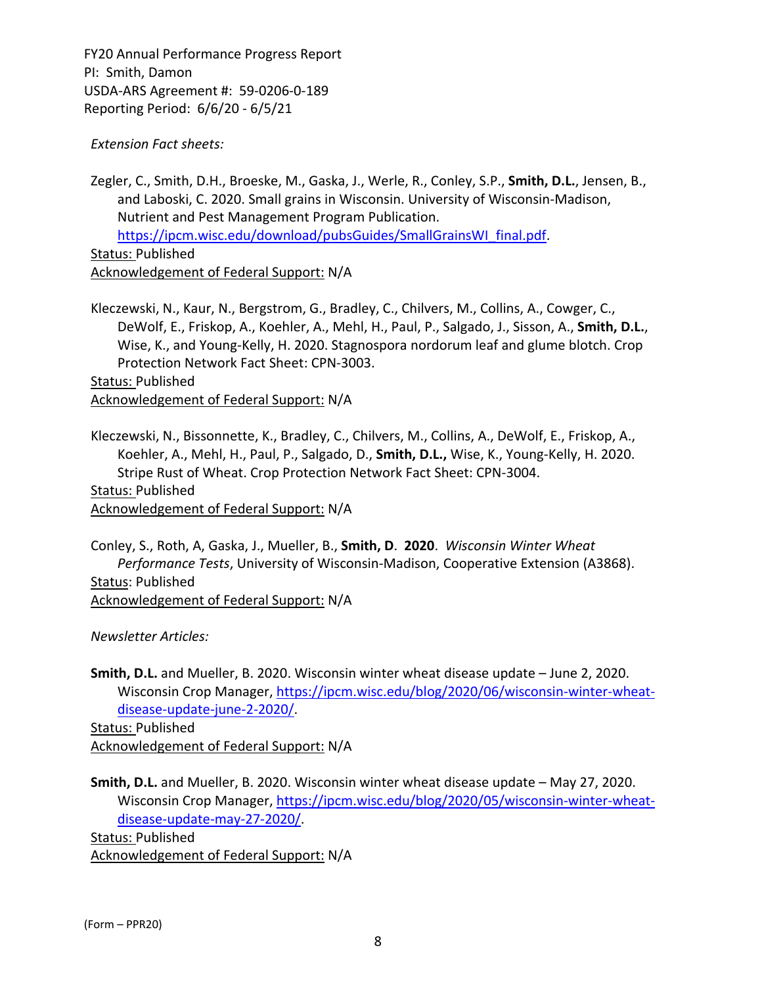*Extension Fact sheets:*

Zegler, C., Smith, D.H., Broeske, M., Gaska, J., Werle, R., Conley, S.P., **Smith, D.L.**, Jensen, B., and Laboski, C. 2020. Small grains in Wisconsin. University of Wisconsin‐Madison, Nutrient and Pest Management Program Publication. https://ipcm.wisc.edu/download/pubsGuides/SmallGrainsWI\_final.pdf. Status: Published

Acknowledgement of Federal Support: N/A

Kleczewski, N., Kaur, N., Bergstrom, G., Bradley, C., Chilvers, M., Collins, A., Cowger, C., DeWolf, E., Friskop, A., Koehler, A., Mehl, H., Paul, P., Salgado, J., Sisson, A., **Smith, D.L.**, Wise, K., and Young‐Kelly, H. 2020. Stagnospora nordorum leaf and glume blotch. Crop Protection Network Fact Sheet: CPN‐3003.

Status: Published Acknowledgement of Federal Support: N/A

Kleczewski, N., Bissonnette, K., Bradley, C., Chilvers, M., Collins, A., DeWolf, E., Friskop, A., Koehler, A., Mehl, H., Paul, P., Salgado, D., **Smith, D.L.,** Wise, K., Young‐Kelly, H. 2020. Stripe Rust of Wheat. Crop Protection Network Fact Sheet: CPN‐3004. Status: Published Acknowledgement of Federal Support: N/A

Conley, S., Roth, A, Gaska, J., Mueller, B., **Smith, D**. **2020**. *Wisconsin Winter Wheat Performance Tests*, University of Wisconsin‐Madison, Cooperative Extension (A3868). Status: Published Acknowledgement of Federal Support: N/A

*Newsletter Articles:*

**Smith, D.L.** and Mueller, B. 2020. Wisconsin winter wheat disease update – June 2, 2020. Wisconsin Crop Manager, https://ipcm.wisc.edu/blog/2020/06/wisconsin-winter-wheatdisease‐update‐june‐2‐2020/.

Status: Published Acknowledgement of Federal Support: N/A

**Smith, D.L.** and Mueller, B. 2020. Wisconsin winter wheat disease update – May 27, 2020. Wisconsin Crop Manager, https://ipcm.wisc.edu/blog/2020/05/wisconsin-winter-wheatdisease‐update‐may‐27‐2020/. Status: Published

Acknowledgement of Federal Support: N/A